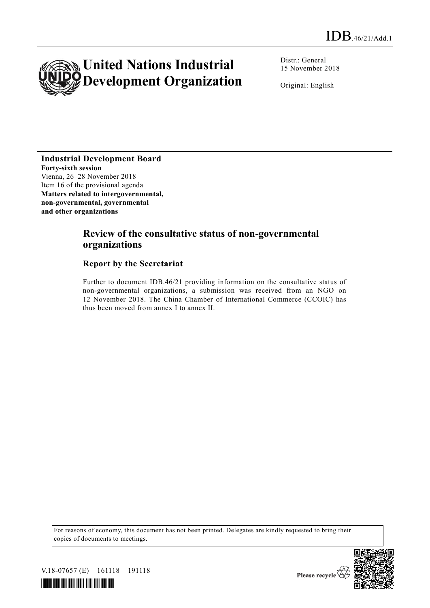

Distr.: General 15 November 2018

Original: English

**Industrial Development Board Forty-sixth session** Vienna, 26–28 November 2018 Item 16 of the provisional agenda **Matters related to intergovernmental, non-governmental, governmental and other organizations**

## **Review of the consultative status of non-governmental organizations**

## **Report by the Secretariat**

Further to document IDB.46/21 providing information on the consultative status of non-governmental organizations, a submission was received from an NGO on 12 November 2018. The China Chamber of International Commerce (CCOIC) has thus been moved from annex I to annex II.

For reasons of economy, this document has not been printed. Delegates are kindly requested to bring their copies of documents to meetings.



Please recycle  $\mathfrak{C}$ 

V.18-07657 (E) 161118 191118

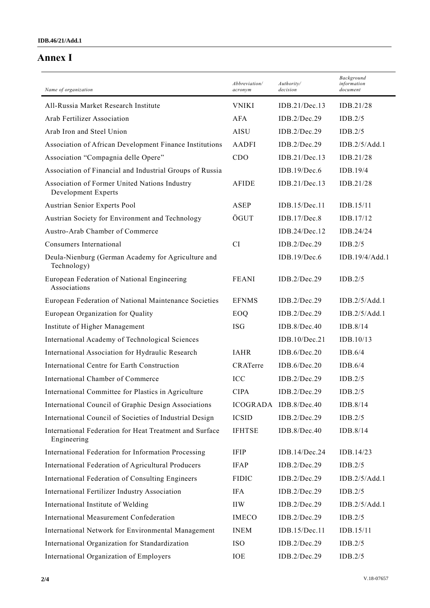## **Annex I**

| Name of organization                                                   | Abbreviation/<br>acronym | Authority/<br>decision | Background<br>information<br>document |
|------------------------------------------------------------------------|--------------------------|------------------------|---------------------------------------|
| All-Russia Market Research Institute                                   | <b>VNIKI</b>             | IDB.21/Dec.13          | IDB.21/28                             |
| Arab Fertilizer Association                                            | AFA                      | IDB.2/Dec.29           | IDB.2/5                               |
| Arab Iron and Steel Union                                              | <b>AISU</b>              | IDB.2/Dec.29           | IDB.2/5                               |
| Association of African Development Finance Institutions                | AADFI                    | IDB.2/Dec.29           | IDB.2/5/Add.1                         |
| Association "Compagnia delle Opere"                                    | CDO                      | IDB.21/Dec.13          | IDB.21/28                             |
| Association of Financial and Industrial Groups of Russia               |                          | IDB.19/Dec.6           | IDB.19/4                              |
| Association of Former United Nations Industry<br>Development Experts   | <b>AFIDE</b>             | IDB.21/Dec.13          | IDB.21/28                             |
| Austrian Senior Experts Pool                                           | ASEP                     | IDB.15/Dec.11          | IDB.15/11                             |
| Austrian Society for Environment and Technology                        | ÖGUT                     | IDB.17/Dec.8           | IDB.17/12                             |
| Austro-Arab Chamber of Commerce                                        |                          | IDB.24/Dec.12          | IDB.24/24                             |
| Consumers International                                                | CI                       | IDB.2/Dec.29           | IDB.2/5                               |
| Deula-Nienburg (German Academy for Agriculture and<br>Technology)      |                          | IDB.19/Dec.6           | IDB.19/4/Add.1                        |
| European Federation of National Engineering<br>Associations            | <b>FEANI</b>             | IDB.2/Dec.29           | IDB.2/5                               |
| European Federation of National Maintenance Societies                  | <b>EFNMS</b>             | IDB.2/Dec.29           | IDB.2/5/Add.1                         |
| European Organization for Quality                                      | EOQ                      | IDB.2/Dec.29           | IDB.2/5/Add.1                         |
| Institute of Higher Management                                         | <b>ISG</b>               | IDB.8/Dec.40           | IDB.8/14                              |
| International Academy of Technological Sciences                        |                          | IDB.10/Dec.21          | IDB.10/13                             |
| International Association for Hydraulic Research                       | <b>IAHR</b>              | IDB.6/Dec.20           | IDB.6/4                               |
| International Centre for Earth Construction                            | <b>CRATerre</b>          | IDB.6/Dec.20           | IDB.6/4                               |
| International Chamber of Commerce                                      | <b>ICC</b>               | IDB.2/Dec.29           | IDB.2/5                               |
| International Committee for Plastics in Agriculture                    | <b>CIPA</b>              | IDB.2/Dec.29           | IDB.2/5                               |
| International Council of Graphic Design Associations                   |                          | ICOGRADA IDB.8/Dec.40  | IDB.8/14                              |
| International Council of Societies of Industrial Design                | <b>ICSID</b>             | IDB.2/Dec.29           | IDB.2/5                               |
| International Federation for Heat Treatment and Surface<br>Engineering | <b>IFHTSE</b>            | IDB.8/Dec.40           | IDB.8/14                              |
| International Federation for Information Processing                    | <b>IFIP</b>              | IDB.14/Dec.24          | IDB.14/23                             |
| International Federation of Agricultural Producers                     | <b>IFAP</b>              | IDB.2/Dec.29           | IDB.2/5                               |
| International Federation of Consulting Engineers                       | <b>FIDIC</b>             | IDB.2/Dec.29           | IDB.2/5/Add.1                         |
| International Fertilizer Industry Association                          | <b>IFA</b>               | IDB.2/Dec.29           | IDB.2/5                               |
| International Institute of Welding                                     | <b>IIW</b>               | IDB.2/Dec.29           | IDB.2/5/Add.1                         |
| International Measurement Confederation                                | <b>IMECO</b>             | IDB.2/Dec.29           | IDB.2/5                               |
| International Network for Environmental Management                     | <b>INEM</b>              | IDB.15/Dec.11          | IDB.15/11                             |
| International Organization for Standardization                         | <b>ISO</b>               | IDB.2/Dec.29           | IDB.2/5                               |
| International Organization of Employers                                | IOE                      | IDB.2/Dec.29           | IDB.2/5                               |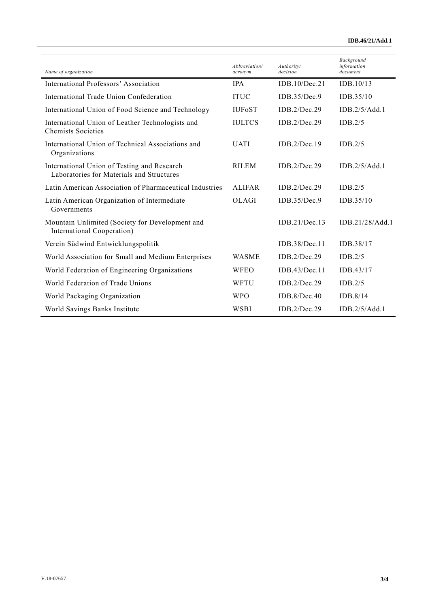| Name of organization                                                                     | Abbreviation/<br>acronym | Authority/<br>decision | Background<br>information<br>document |
|------------------------------------------------------------------------------------------|--------------------------|------------------------|---------------------------------------|
| International Professors' Association                                                    | <b>IPA</b>               | IDB.10/Dec.21          | IDB.10/13                             |
| International Trade Union Confederation                                                  | <b>ITUC</b>              | IDB.35/Dec.9           | IDB.35/10                             |
| International Union of Food Science and Technology                                       | <b>IUFoST</b>            | IDB.2/Dec.29           | IDB.2/5/Add.1                         |
| International Union of Leather Technologists and<br><b>Chemists Societies</b>            | <b>IULTCS</b>            | IDB.2/Dec.29           | IDB.2/5                               |
| International Union of Technical Associations and<br>Organizations                       | <b>UATI</b>              | IDB.2/Dec.19           | IDB.2/5                               |
| International Union of Testing and Research<br>Laboratories for Materials and Structures | <b>RILEM</b>             | IDB.2/Dec.29           | IDB.2/5/Add.1                         |
| Latin American Association of Pharmaceutical Industries                                  | <b>ALIFAR</b>            | IDB.2/Dec.29           | IDB.2/5                               |
| Latin American Organization of Intermediate<br>Governments                               | <b>OLAGI</b>             | IDB.35/Dec.9           | IDB.35/10                             |
| Mountain Unlimited (Society for Development and<br>International Cooperation)            |                          | IDB.21/Dec.13          | IDB.21/28/Add.1                       |
| Verein Südwind Entwicklungspolitik                                                       |                          | IDB.38/Dec.11          | IDB.38/17                             |
| World Association for Small and Medium Enterprises                                       | <b>WASME</b>             | IDB.2/Dec.29           | IDB.2/5                               |
| World Federation of Engineering Organizations                                            | <b>WFEO</b>              | IDB.43/Dec.11          | IDB.43/17                             |
| World Federation of Trade Unions                                                         | WFTU                     | IDB.2/Dec.29           | IDB.2/5                               |
| World Packaging Organization                                                             | <b>WPO</b>               | IDB.8/Dec.40           | IDB.8/14                              |
| World Savings Banks Institute                                                            | <b>WSBI</b>              | IDB.2/Dec.29           | IDB.2/5/Add.1                         |